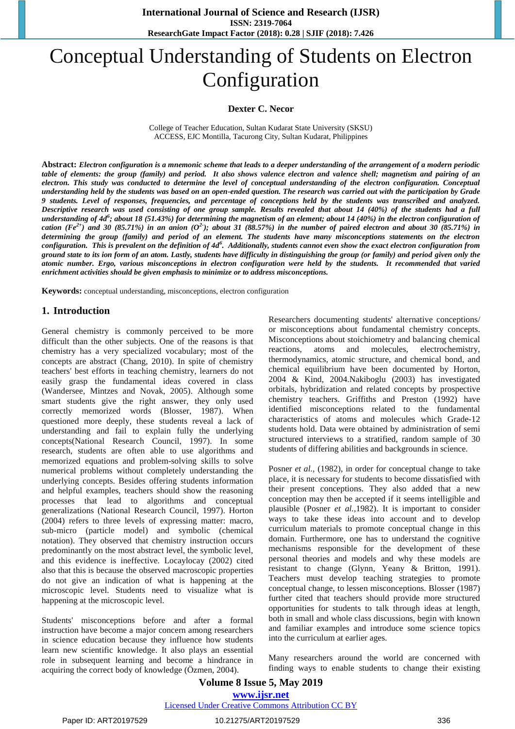# Conceptual Understanding of Students on Electron Configuration

#### **Dexter C. Necor**

College of Teacher Education, Sultan Kudarat State University (SKSU) ACCESS, EJC Montilla, Tacurong City, Sultan Kudarat, Philippines

**Abstract:** *Electron configuration is a mnemonic scheme that leads to a deeper understanding of the arrangement of a modern periodic table of elements: the group (family) and period. It also shows valence electron and valence shell; magnetism and pairing of an electron. This study was conducted to determine the level of conceptual understanding of the electron configuration. Conceptual understanding held by the students was based on an open-ended question. The research was carried out with the participation by Grade 9 students. Level of responses, frequencies, and percentage of conceptions held by the students was transcribed and analyzed. Descriptive research was used consisting of one group sample. Results revealed that about 14 (40%) of the students had a full understanding of 4d<sup>6</sup> ; about 18 (51.43%) for determining the magnetism of an element; about 14 (40%) in the electron configuration of*  cation (Fe<sup>2+</sup>) and 30 (85.71%) in an anion (O<sup>2</sup>); about 31 (88.57%) in the number of paired electron and about 30 (85.71%) in *determining the group (family) and period of an element. The students have many misconceptions statements on the electron configuration. This is prevalent on the definition of 4d<sup>6</sup> . Additionally, students cannot even show the exact electron configuration from ground state to its ion form of an atom. Lastly, students have difficulty in distinguishing the group (or family) and period given only the atomic number. Ergo, various misconceptions in electron configuration were held by the students. It recommended that varied enrichment activities should be given emphasis to minimize or to address misconceptions.* 

**Keywords:** conceptual understanding, misconceptions, electron configuration

#### **1. Introduction**

General chemistry is commonly perceived to be more difficult than the other subjects. One of the reasons is that chemistry has a very specialized vocabulary; most of the concepts are abstract (Chang, 2010). In spite of chemistry teachers' best efforts in teaching chemistry, learners do not easily grasp the fundamental ideas covered in class (Wandersee, Mintzes and Novak, 2005). Although some smart students give the right answer, they only used correctly memorized words (Blosser, 1987). When questioned more deeply, these students reveal a lack of understanding and fail to explain fully the underlying concepts(National Research Council, 1997). In some research, students are often able to use algorithms and memorized equations and problem-solving skills to solve numerical problems without completely understanding the underlying concepts. Besides offering students information and helpful examples, teachers should show the reasoning processes that lead to algorithms and conceptual generalizations (National Research Council, 1997). Horton (2004) refers to three levels of expressing matter: macro, sub-micro (particle model) and symbolic (chemical notation). They observed that chemistry instruction occurs predominantly on the most abstract level, the symbolic level, and this evidence is ineffective. Locaylocay (2002) cited also that this is because the observed macroscopic properties do not give an indication of what is happening at the microscopic level. Students need to visualize what is happening at the microscopic level.

Students' misconceptions before and after a formal instruction have become a major concern among researchers in science education because they influence how students learn new scientific knowledge. It also plays an essential role in subsequent learning and become a hindrance in acquiring the correct body of knowledge (Özmen, 2004).

Researchers documenting students' alternative conceptions/ or misconceptions about fundamental chemistry concepts. Misconceptions about stoichiometry and balancing chemical reactions, atoms and molecules, electrochemistry, thermodynamics, atomic structure, and chemical bond, and chemical equilibrium have been documented by Horton, 2004 & Kind, 2004.Nakiboglu (2003) has investigated orbitals, hybridization and related concepts by prospective chemistry teachers. Griffiths and Preston (1992) have identified misconceptions related to the fundamental characteristics of atoms and molecules which Grade-12 students hold. Data were obtained by administration of semi structured interviews to a stratified, random sample of 30 students of differing abilities and backgrounds in science.

Posner *et al.,* (1982), in order for conceptual change to take place, it is necessary for students to become dissatisfied with their present conceptions. They also added that a new conception may then be accepted if it seems intelligible and plausible (Posner *et al.,*1982). It is important to consider ways to take these ideas into account and to develop curriculum materials to promote conceptual change in this domain. Furthermore, one has to understand the cognitive mechanisms responsible for the development of these personal theories and models and why these models are resistant to change (Glynn, Yeany & Britton, 1991). Teachers must develop teaching strategies to promote conceptual change, to lessen misconceptions. Blosser (1987) further cited that teachers should provide more structured opportunities for students to talk through ideas at length, both in small and whole class discussions, begin with known and familiar examples and introduce some science topics into the curriculum at earlier ages.

Many researchers around the world are concerned with finding ways to enable students to change their existing

#### **Volume 8 Issue 5, May 2019 www.ijsr.net** Licensed Under Creative Commons Attribution CC BY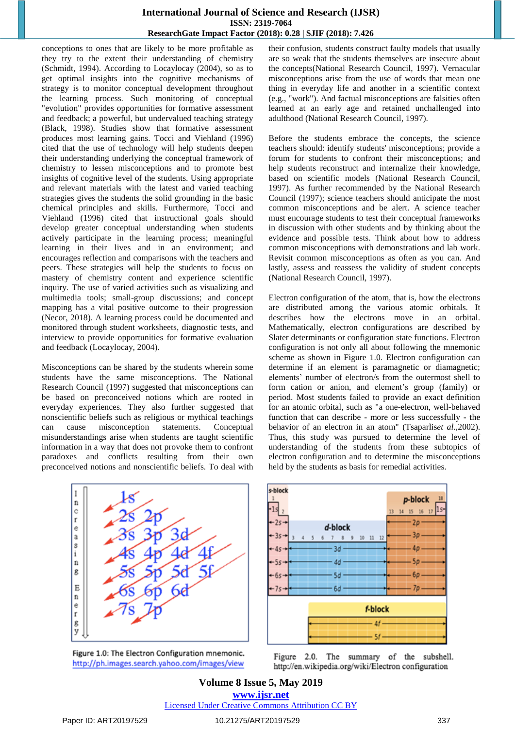conceptions to ones that are likely to be more profitable as they try to the extent their understanding of chemistry (Schmidt, 1994). According to Locaylocay (2004), so as to get optimal insights into the cognitive mechanisms of strategy is to monitor conceptual development throughout the learning process. Such monitoring of conceptual "evolution" provides opportunities for formative assessment and feedback; a powerful, but undervalued teaching strategy (Black, 1998). Studies show that formative assessment produces most learning gains. Tocci and Viehland (1996) cited that the use of technology will help students deepen their understanding underlying the conceptual framework of chemistry to lessen misconceptions and to promote best insights of cognitive level of the students. Using appropriate and relevant materials with the latest and varied teaching strategies gives the students the solid grounding in the basic chemical principles and skills. Furthermore, Tocci and Viehland (1996) cited that instructional goals should develop greater conceptual understanding when students actively participate in the learning process; meaningful learning in their lives and in an environment; and encourages reflection and comparisons with the teachers and peers. These strategies will help the students to focus on mastery of chemistry content and experience scientific inquiry. The use of varied activities such as visualizing and multimedia tools; small-group discussions; and concept mapping has a vital positive outcome to their progression (Necor, 2018). A learning process could be documented and monitored through student worksheets, diagnostic tests, and interview to provide opportunities for formative evaluation and feedback (Locaylocay, 2004).

Misconceptions can be shared by the students wherein some students have the same misconceptions. The National Research Council (1997) suggested that misconceptions can be based on preconceived notions which are rooted in everyday experiences. They also further suggested that nonscientific beliefs such as religious or mythical teachings can cause misconception statements. Conceptual misunderstandings arise when students are taught scientific information in a way that does not provoke them to confront paradoxes and conflicts resulting from their own preconceived notions and nonscientific beliefs. To deal with



Figure 1.0: The Electron Configuration mnemonic. http://ph.images.search.yahoo.com/images/view

their confusion, students construct faulty models that usually are so weak that the students themselves are insecure about the concepts(National Research Council, 1997). Vernacular misconceptions arise from the use of words that mean one thing in everyday life and another in a scientific context (e.g., "work"). And factual misconceptions are falsities often learned at an early age and retained unchallenged into adulthood (National Research Council, 1997).

Before the students embrace the concepts, the science teachers should: identify students' misconceptions; provide a forum for students to confront their misconceptions; and help students reconstruct and internalize their knowledge, based on scientific models (National Research Council, 1997). As further recommended by the National Research Council (1997); science teachers should anticipate the most common misconceptions and be alert. A science teacher must encourage students to test their conceptual frameworks in discussion with other students and by thinking about the evidence and possible tests. Think about how to address common misconceptions with demonstrations and lab work. Revisit common misconceptions as often as you can. And lastly, assess and reassess the validity of student concepts (National Research Council, 1997).

Electron configuration of the atom, that is, how the electrons are distributed among the various atomic orbitals. It describes how the electrons move in an orbital. Mathematically, electron configurations are described by Slater determinants or [configuration](http://en.wikipedia.org/wiki/Configuration_state_function) state functions. Electron configuration is not only all about following the mnemonic scheme as shown in Figure 1.0. Electron configuration can determine if an element is paramagnetic or diamagnetic; elements' number of electron/s from the outermost shell to form cation or anion, and element's group (family) or period. Most students failed to provide an exact definition for an atomic orbital, such as "a one-electron, well-behaved function that can describe - more or less successfully - the behavior of an electron in an atom" (Tsaparlis*et al.,*2002). Thus, this study was pursued to determine the level of understanding of the students from these subtopics of electron configuration and to determine the misconceptions held by the students as basis for remedial activities.



Figure 2.0. The summary of the subshell. http://en.wikipedia.org/wiki/Electron configuration

**Volume 8 Issue 5, May 2019 www.ijsr.net** Licensed Under Creative Commons Attribution CC BY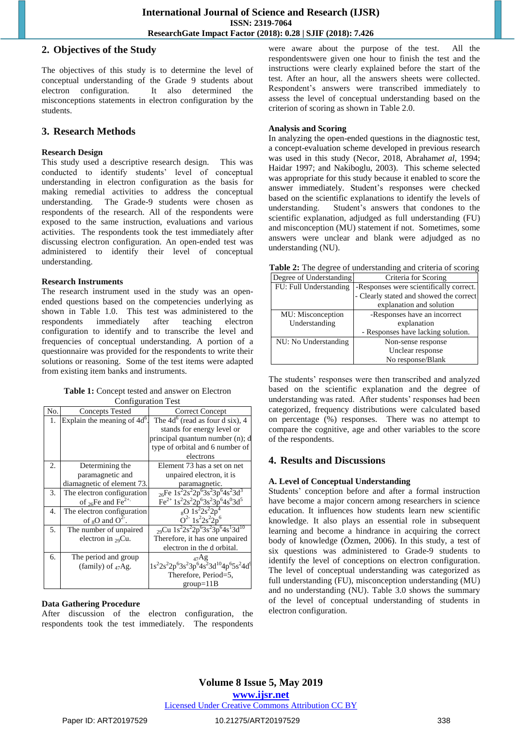#### **2. Objectives of the Study**

The objectives of this study is to determine the level of conceptual understanding of the Grade 9 students about electron configuration. It also determined the misconceptions statements in electron configuration by the students.

### **3. Research Methods**

#### **Research Design**

This study used a descriptive research design. This was conducted to identify students' level of conceptual understanding in electron configuration as the basis for making remedial activities to address the conceptual understanding. The Grade-9 students were chosen as respondents of the research. All of the respondents were exposed to the same instruction, evaluations and various activities. The respondents took the test immediately after discussing electron configuration. An open-ended test was administered to identify their level of conceptual understanding.

#### **Research Instruments**

The research instrument used in the study was an openended questions based on the competencies underlying as shown in Table 1.0. This test was administered to the respondents immediately after teaching electron configuration to identify and to transcribe the level and frequencies of conceptual understanding. A portion of a questionnaire was provided for the respondents to write their solutions or reasoning. Some of the test items were adapted from existing item banks and instruments.

| <b>Table 1:</b> Concept tested and answer on Electron |  |  |
|-------------------------------------------------------|--|--|
| <b>Configuration Test</b>                             |  |  |

| N <sub>0</sub> | <b>Concepts Tested</b>                     | Correct Concept                                                                                                             |
|----------------|--------------------------------------------|-----------------------------------------------------------------------------------------------------------------------------|
| 1.             | Explain the meaning of $\overline{4d^6}$ . | The $4d^6$ (read as four d six), 4                                                                                          |
|                |                                            | stands for energy level or                                                                                                  |
|                |                                            | principal quantum number (n); d                                                                                             |
|                |                                            | type of orbital and 6 number of                                                                                             |
|                |                                            | electrons                                                                                                                   |
| 2.             | Determining the                            | Element 73 has a set on net                                                                                                 |
|                | paramagnetic and                           | unpaired electron, it is                                                                                                    |
|                | diamagnetic of element 73.                 | paramagnetic.                                                                                                               |
| 3.             | The electron configuration                 | $_{26}Fe$ $1s^22s^22p^63s^23p^64s^23d^3$                                                                                    |
|                | of $_{26}$ Fe and Fe <sup>2+.</sup>        | $Fe^{2+}1s^22s^22p^63s^23p^64s^03d^5$                                                                                       |
| 4.             | The electron configuration                 | $_8$ O 1s <sup>2</sup> 2s <sup>2</sup> 2p                                                                                   |
|                | of $_8$ O and O <sup>2-</sup> .            | $Q^2$ - 1s <sup>2</sup> 2s <sup>2</sup> 2p <sup>6</sup>                                                                     |
| 5.             | The number of unpaired                     | $_{29}$ Cu 1s <sup>2</sup> 2s <sup>2</sup> 2p <sup>6</sup> 3s <sup>2</sup> 3p <sup>6</sup> 4s <sup>1</sup> 3d <sup>10</sup> |
|                | electron in $_{29}Cu$ .                    | Therefore, it has one unpaired                                                                                              |
|                |                                            | electron in the d orbital.                                                                                                  |
| б.             | The period and group                       |                                                                                                                             |
|                | (family) of $_{47}$ Ag.                    | $1s^{2}2s^{2}2p^{6}3s^{2}3p^{6}4s^{2}3d^{10}4p^{6}5s^{2}4d^{9}$                                                             |
|                |                                            | Therefore, Period=5,                                                                                                        |
|                |                                            | $group=11B$                                                                                                                 |

#### **Data Gathering Procedure**

After discussion of the electron configuration, the respondents took the test immediately. The respondents were aware about the purpose of the test. All the respondentswere given one hour to finish the test and the instructions were clearly explained before the start of the test. After an hour, all the answers sheets were collected. Respondent's answers were transcribed immediately to assess the level of conceptual understanding based on the criterion of scoring as shown in Table 2.0.

#### **Analysis and Scoring**

In analyzing the open-ended questions in the diagnostic test, a concept-evaluation scheme developed in previous research was used in this study (Necor, 2018, Abraham*et al*, 1994; Haidar 1997; and Nakiboglu, 2003). This scheme selected was appropriate for this study because it enabled to score the answer immediately. Student's responses were checked based on the scientific explanations to identify the levels of understanding. Student's answers that condones to the scientific explanation, adjudged as full understanding (FU) and misconception (MU) statement if not. Sometimes, some answers were unclear and blank were adjudged as no understanding (NU).

| Table 2: The degree of understanding and criteria of scoring |  |
|--------------------------------------------------------------|--|
|--------------------------------------------------------------|--|

| Degree of Understanding | Criteria for Scoring                    |
|-------------------------|-----------------------------------------|
| FU: Full Understanding  | -Responses were scientifically correct. |
|                         | - Clearly stated and showed the correct |
|                         | explanation and solution                |
| MU: Misconception       | -Responses have an incorrect            |
| Understanding           | explanation                             |
|                         | - Responses have lacking solution.      |
| NU: No Understanding    | Non-sense response                      |
|                         | Unclear response                        |
|                         | No response/Blank                       |

The students' responses were then transcribed and analyzed based on the scientific explanation and the degree of understanding was rated. After students' responses had been categorized, frequency distributions were calculated based on percentage (%) responses. There was no attempt to compare the cognitive, age and other variables to the score of the respondents.

## **4. Results and Discussions**

#### **A. Level of Conceptual Understanding**

Students' conception before and after a formal instruction have become a major concern among researchers in science education. It influences how students learn new scientific knowledge. It also plays an essential role in subsequent learning and become a hindrance in acquiring the correct body of knowledge (Özmen, 2006). In this study, a test of six questions was administered to Grade-9 students to identify the level of conceptions on electron configuration. The level of conceptual understanding was categorized as full understanding (FU), misconception understanding (MU) and no understanding (NU). Table 3.0 shows the summary of the level of conceptual understanding of students in electron configuration.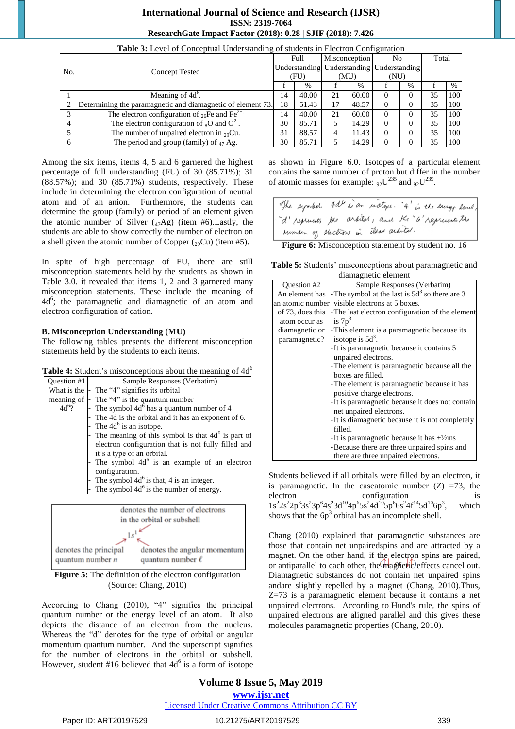|     | <u>twee et me ce conseption onder community of processity in messen configuration</u> |      |       |      |               |          |                                                 |    |       |
|-----|---------------------------------------------------------------------------------------|------|-------|------|---------------|----------|-------------------------------------------------|----|-------|
|     |                                                                                       |      | Full  |      | Misconception |          | No<br>Understanding Understanding Understanding |    | Total |
| No. |                                                                                       |      |       |      |               |          |                                                 |    |       |
|     | <b>Concept Tested</b>                                                                 | (FU) |       | (MU) |               | (NU)     |                                                 |    |       |
|     |                                                                                       |      | $\%$  |      | $\%$          |          | $\%$                                            |    | $\%$  |
|     | Meaning of 4d <sup>o</sup> .                                                          | 14   | 40.00 | 21   | 60.00         | $\Omega$ |                                                 | 35 | 100   |
|     | Determining the paramagnetic and diamagnetic of element 73.                           | 18   | 51.43 |      | 48.57         | $\Omega$ |                                                 | 35 | 100   |
|     | The electron configuration of <sub>26</sub> Fe and Fe <sup>2+.</sup>                  |      | 40.00 | 21   | 60.00         | $\Omega$ |                                                 | 35 | 100   |
| 4   | The electron configuration of ${}_{8}O$ and $O^{2}$ .                                 | 30   | 85.71 |      | 14.29         | $\Omega$ |                                                 | 35 | 100   |
|     | The number of unpaired electron in $_{29}Cu$ .                                        | 31   | 88.57 |      | 11.43         | $\Omega$ |                                                 | 35 | 100   |
|     | The period and group (family) of $_{47}$ Ag.                                          | 30   | 85.71 |      | 14.29         | $\Omega$ |                                                 | 35 | 100   |

**Table 3:** Level of Conceptual Understanding of students in Electron Configuration

Among the six items, items 4, 5 and 6 garnered the highest percentage of full understanding (FU) of 30 (85.71%); 31  $(88.57\%)$ ; and 30  $(85.71\%)$  students, respectively. These include in determining the electron configuration of neutral atom and of an anion. Furthermore, the students can determine the group (family) or period of an element given the atomic number of Silver  $(47Ag)$  (item #6). Lastly, the students are able to show correctly the number of electron on a shell given the atomic number of Copper  $({}_{29}Cu)$  (item #5).

In spite of high percentage of FU, there are still misconception statements held by the students as shown in Table 3.0. it revealed that items 1, 2 and 3 garnered many misconception statements. These include the meaning of 4d<sup>6</sup>; the paramagnetic and diamagnetic of an atom and electron configuration of cation.

#### **B. Misconception Understanding (MU)**

The following tables presents the different misconception statements held by the students to each items.

| <b>Table 4:</b> Student's misconceptions about the meaning of $4d^6$ |  |
|----------------------------------------------------------------------|--|
|----------------------------------------------------------------------|--|

| Ouestion #1 | Sample Responses (Verbatim)                           |
|-------------|-------------------------------------------------------|
| What is the | - The "4" signifies its orbital                       |
|             | meaning of - The "4" is the quantum number            |
| $4d^{6}$ ?  | - The symbol $4d6$ has a quantum number of 4          |
|             | The 4d is the orbital and it has an exponent of 6.    |
|             | - The $4d^6$ is an isotope.                           |
|             | - The meaning of this symbol is that $4d6$ is part of |
|             | electron configuration that is not fully filled and   |
|             | it's a type of an orbital.                            |
|             | - The symbol $4d^6$ is an example of an electron      |
|             | configuration.                                        |
|             | The symbol $4d^6$ is that, 4 is an integer.           |
|             | The symbol $4d^6$ is the number of energy.            |



**Figure 5:** The definition of the electron configuration (Source: Chang, 2010)

According to Chang  $(2010)$ , "4" signifies the principal quantum number or the energy level of an atom. It also depicts the distance of an electron from the nucleus. Whereas the "d" denotes for the type of orbital or angular momentum quantum number. And the superscript signifies for the number of electrons in the orbital or subshell. However, student #16 believed that  $4d^6$  is a form of isotope

as shown in Figure 6.0. Isotopes of a particular [element](http://en.wikipedia.org/wiki/Chemical_element) contains the same number of proton but differ in the number of atomic masses for example:  $_{92}U^{235}$  and  $_{92}U^{239}$ .

|  | The symbol 4dd is an inatoxi. "4" is the energy level, |  |
|--|--------------------------------------------------------|--|
|  | d'reprients the arkital, and the 6'reprisents the      |  |
|  | ruman of electrons in that arantel.                    |  |

**Figure 6:** Misconception statement by student no. 16

**Table 5:** Students' misconceptions about paramagnetic and diamagnetic element

| $\alpha$ and $\alpha$ $\beta$ and $\alpha$ $\beta$ and $\alpha$ $\beta$ |                                                      |  |  |
|-------------------------------------------------------------------------|------------------------------------------------------|--|--|
| Question #2                                                             | Sample Responses (Verbatim)                          |  |  |
| An element has                                                          | The symbol at the last is $5d3$ so there are 3       |  |  |
| an atomic number                                                        | visible electrons at 5 boxes.                        |  |  |
| of 73, does this                                                        | - The last electron configuration of the element     |  |  |
| atom occur as                                                           | is $7p^3$                                            |  |  |
| diamagnetic or                                                          | - This element is a paramagnetic because its         |  |  |
| paramagnetic?                                                           | isotope is $5d3$ .                                   |  |  |
|                                                                         | -It is paramagnetic because it contains 5            |  |  |
|                                                                         | unpaired electrons.                                  |  |  |
| - The element is paramagnetic because all the                           |                                                      |  |  |
|                                                                         | boxes are filled.                                    |  |  |
|                                                                         | - The element is paramagnetic because it has         |  |  |
|                                                                         | positive charge electrons.                           |  |  |
|                                                                         | -It is paramagnetic because it does not contain      |  |  |
|                                                                         | net unpaired electrons.                              |  |  |
|                                                                         | -It is diamagnetic because it is not completely      |  |  |
|                                                                         | filled.                                              |  |  |
|                                                                         | -It is paramagnetic because it has $+\frac{1}{2}$ ms |  |  |
|                                                                         | -Because there are three unpaired spins and          |  |  |
|                                                                         | there are three unpaired electrons.                  |  |  |

Students believed if all orbitals were filled by an electron, it is paramagnetic. In the caseatomic number  $(Z)$  =73, the electron configuration is  $1s^{2}2s^{2}2p^{6}3s^{2}3p^{6}4s^{2}3d^{10}4p^{6}5s^{2}4d^{10}5p^{6}6s^{2}4f^{14}5d^{10}6p^{3}$ which shows that the  $6p<sup>3</sup>$  orbital has an incomplete shell.

Chang (2010) explained that paramagnetic substances are those that contain net unpairedspins and are attracted by a magnet. On the other hand, if the electron spins are paired, or antiparallel to each other, the  $m$ agnetic effects cancel out. Diamagnetic substances do not contain net unpaired spins andare slightly repelled by a magnet (Chang, 2010).Thus, Z=73 is a paramagnetic element because it contains a net unpaired electrons. According to [Hund's rule,](http://en.wikipedia.org/wiki/Hund%27s_rule) the spins of unpaired electrons are aligned parallel and this gives these molecules [paramagnetic](http://en.wikipedia.org/wiki/Paramagnetism) properties (Chang, 2010).

#### **Volume 8 Issue 5, May 2019 www.ijsr.net** Licensed Under Creative Commons Attribution CC BY

Paper ID: ART20197529 10.21275/ART20197529 339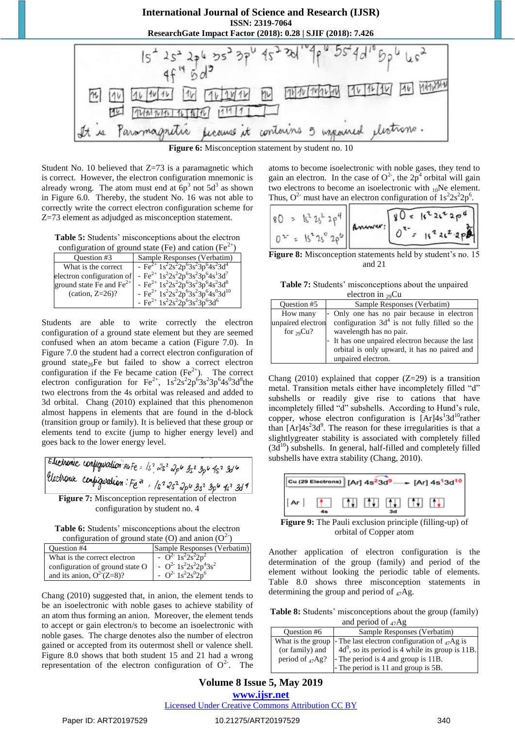

Student No. 10 believed that  $Z=73$  is a paramagnetic which is correct. However, the electron configuration mnemonic is already wrong. The atom must end at  $6p<sup>3</sup>$  not  $5d<sup>3</sup>$  as shown in Figure 6.0. Thereby, the student No. 16 was not able to correctly write the correct electron configuration scheme for Z=73 element as adjudged as misconception statement.

**Table 5:** Students' misconceptions about the electron uration of ground state (Ee) and cation  $(Fe^{2+})$ 

|                            | configuration of ground state (Fe) and cation (Fe    |
|----------------------------|------------------------------------------------------|
| Ouestion #3                | Sample Responses (Verbatim)                          |
| What is the correct        | - Fe <sup>2+</sup> $1s^22s^22p^63s^23p^64s^23d^4$    |
| electron configuration of  | - Fe <sup>2+</sup> $1s^22s^22p^63s^23p^64s^13d^7$    |
| ground state Fe and $Fe2+$ | - $Fe^{2+} 1s^2 2s^2 2p^6 3s^2 3p^6 4s^2 3d^8$       |
| (cation, $Z=26$ )?         | - Fe <sup>2+</sup> $1s^22s^22p^63s^23p^64s^03d^{10}$ |
|                            | - Fe <sup>2+</sup> $1s^22s^22p^63s^23p^63d^6$        |

Students are able to write correctly the electron configuration of a ground state element but they are seemed confused when an atom became a cation (Figure 7.0). In Figure 7.0 the student had a correct electron configuration of ground state $_{26}$ Fe but failed to show a correct electron configuration if the Fe became cation  $(Fe<sup>2+</sup>)$ . The correct electron configuration for  $\text{Fe}^{2+}$ ,  $1s^22s^22p^63s^23p^64s^03d^8$ the two electrons from the 4s orbital was released and added to 3d orbital. Chang (2010) explained that this phenomenon almost happens in elements that are found in the d-block (transition group or family). It is believed that these group or elements tend to excite (jump to higher energy level) and goes back to the lower energy level.

**Figure 7:** Misconception representation of electron configuration by student no. 4

**Table 6:** Students' misconceptions about the electron configuration of ground state (O) and anion  $(O<sup>2</sup>)$ 

| Question #4                                 | Sample Responses (Verbatim)                                                 |
|---------------------------------------------|-----------------------------------------------------------------------------|
| What is the correct electron                | $-$ O <sup>2-</sup> 1s <sup>2</sup> 2s <sup>2</sup> 2p <sup>2</sup>         |
| configuration of ground state O             | - $Q^2$ <sup>1s<sup>2</sup>2s<sup>2</sup>2p<sup>4</sup>3s<sup>2</sup></sup> |
| and its anion, $Q^2$ <sup>-</sup> $(Z=8)$ ? | - $Q^2$ 1s <sup>2</sup> 2s <sup>0</sup> 2p <sup>6</sup>                     |

Chang (2010) suggested that, in anion, the element tends to be an isoelectronic with noble gases to achieve stability of an atom thus forming an anion. Moreover, the element tends to accept or gain electron/s to become an isoelectronic with noble gases. The charge denotes also the number of electron gained or accepted from its outermost shell or valence shell. Figure 8.0 shows that both student 15 and 21 had a wrong representation of the electron configuration of  $O<sup>2</sup>$ . The atoms to become isoelectronic with noble gases, they tend to gain an electron. In the case of  $O^2$ , the  $2p^4$  orbital will gain two electrons to become an isoelectronic with  $_{10}$ Ne element. Thus,  $O^{2}$  must have an electron configuration of  $1s^{2}2s^{2}2p^{6}$ .

$$
80 = 15^{2}25^{2}29^{4}
$$
  
Answer:  
 $0^{2} = 15^{2}25^{2}29^{6}$   
Answer:  
 $0^{2} = 15^{2}25^{2}29^{6}$ 

**Figure 8:** Misconception statements held by student's no. 15 and 21

**Table 7:** Students' misconceptions about the unpaired  $eleatron$  in  $Cu$ 

|                   | CREATH III 79Cu                                 |
|-------------------|-------------------------------------------------|
| Question #5       | Sample Responses (Verbatim)                     |
| How many          | - Only one has no pair because in electron      |
| unpaired electron | configuration $3d4$ is not fully filled so the  |
| for $_{29}Cu?$    | wavelength has no pair.                         |
|                   | - It has one unpaired electron because the last |
|                   | orbital is only upward, it has no paired and    |
|                   | unpaired electron.                              |

Chang (2010) explained that copper  $(Z=29)$  is a transition metal. Transition metals either have incompletely filled "d" subshells or readily give rise to cations that have incompletely filled "d" subshells. According to Hund's rule, copper, whose electron configuration is  $[Ar]4s^{1}3d^{10}$ rather than  $[Ar]4s<sup>2</sup>3d<sup>9</sup>$ . The reason for these irregularities is that a slightlygreater stability is associated with completely filled  $(3d^{10})$  subshells. In general, half-filled and completely filled subshells have extra stability (Chang, 2010).



**Figure 9:** The Pauli exclusion principle (filling-up) of orbital of Copper atom

Another application of electron configuration is the determination of the group (family) and period of the element without looking the periodic table of elements. Table 8.0 shows three misconception statements in determining the group and period of 47Ag.

**Table 8:** Students' misconceptions about the group (family) and period of  $47\text{Ag}$ 

| $m = 100$             |                                                     |  |
|-----------------------|-----------------------------------------------------|--|
| Question #6           | Sample Responses (Verbatim)                         |  |
| What is the group     | - The last electron configuration of $_{47}$ Ag is  |  |
| (or family) and       | $4d^9$ , so its period is 4 while its group is 11B. |  |
| period of $_{47}$ Ag? | - The period is 4 and group is 11B.                 |  |
|                       | - The period is 11 and group is 5B.                 |  |

# **Volume 8 Issue 5, May 2019 www.ijsr.net**

Licensed Under Creative Commons Attribution CC BY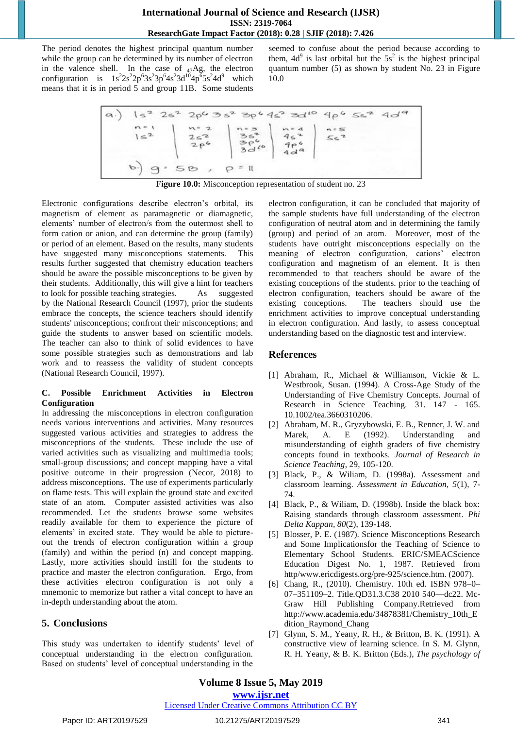The period denotes the highest principal quantum number while the group can be determined by its number of electron in the valence shell. In the case of  $_{47}Ag$ , the electron configuration is  $1s^2 2s^2 2p^6 3s^2 3p^6 4s^2 3d^{10} 4p^6 5s^2 4d^9$  which means that it is in period 5 and group 11B. Some students

seemed to confuse about the period because according to them,  $4d^{9}$  is last orbital but the  $5s^{2}$  is the highest principal quantum number (5) as shown by student No. 23 in Figure 10.0



**Figure 10.0:** Misconception representation of student no. 23

Electronic configurations describe electron's orbital, its magnetism of element as paramagnetic or diamagnetic, elements' number of electron/s from the outermost shell to form cation or anion, and can determine the group (family) or period of an element. Based on the results, many students have suggested many misconceptions statements. This results further suggested that chemistry education teachers should be aware the possible misconceptions to be given by their students. Additionally, this will give a hint for teachers to look for possible teaching strategies. As suggested by the National Research Council (1997), prior the students embrace the concepts, the science teachers should identify students' misconceptions; confront their misconceptions; and guide the students to answer based on scientific models. The teacher can also to think of solid evidences to have some possible strategies such as demonstrations and lab work and to reassess the validity of student concepts (National Research Council, 1997).

#### **C. Possible Enrichment Activities in Electron Configuration**

In addressing the misconceptions in electron configuration needs various interventions and activities. Many resources suggested various activities and strategies to address the misconceptions of the students. These include the use of varied activities such as visualizing and multimedia tools; small-group discussions; and concept mapping have a vital positive outcome in their progression (Necor, 2018) to address misconceptions. The use of experiments particularly on flame tests. This will explain the ground state and excited state of an atom. Computer assisted activities was also recommended. Let the students browse some websites readily available for them to experience the picture of elements' in excited state. They would be able to pictureout the trends of electron configuration within a group (family) and within the period (n) and concept mapping. Lastly, more activities should instill for the students to practice and master the electron configuration. Ergo, from these activities electron configuration is not only a mnemonic to memorize but rather a vital concept to have an in-depth understanding about the atom.

# **5. Conclusions**

This study was undertaken to identify students' level of conceptual understanding in the electron configuration. Based on students' level of conceptual understanding in the

electron configuration, it can be concluded that majority of the sample students have full understanding of the electron configuration of neutral atom and in determining the family (group) and period of an atom. Moreover, most of the students have outright misconceptions especially on the meaning of electron configuration, cations' electron configuration and magnetism of an element. It is then recommended to that teachers should be aware of the existing conceptions of the students. prior to the teaching of electron configuration, teachers should be aware of the existing conceptions. The teachers should use the enrichment activities to improve conceptual understanding in electron configuration. And lastly, to assess conceptual understanding based on the diagnostic test and interview.

# **References**

- [1] Abraham, R., Michael & Williamson, Vickie & L. Westbrook, Susan. (1994). A Cross-Age Study of the Understanding of Five Chemistry Concepts. Journal of Research in Science Teaching. 31. 147 - 165. 10.1002/tea.3660310206.
- [2] Abraham, M. R., Gryzybowski, E. B., Renner, J. W. and Marek, A. E (1992). Understanding and misunderstanding of eighth graders of five chemistry concepts found in textbooks*. Journal of Research in Science Teaching*, 29, 105-120.
- [3] Black, P., & Wiliam, D. (1998a). Assessment and classroom learning. *Assessment in Education, 5*(1), 7- 74.
- [4] Black, P., & Wiliam, D. (1998b). Inside the black box: Raising standards through classroom assessment. *Phi Delta Kappan, 80*(2), 139-148.
- [5] Blosser, P. E. (1987). Science Misconceptions Research and Some Implicationsfor the Teaching of Science to Elementary School Students. ERIC/SMEACScience Education Digest No. 1, 1987. Retrieved from http/www.ericdigests.org/pre-925/science.htm. (2007).
- [6] Chang, R., (2010). Chemistry. 10th ed. ISBN 978–0– 07–351109–2. Title.QD31.3.C38 2010 540—dc22. Mc-Graw Hill Publishing Company.Retrieved from [http://www.academia.edu/34878381/Chemistry\\_10th\\_E](http://www.academia.edu/34878381/Chemistry_10th_Edition_Raymond_Chang) [dition\\_Raymond\\_Chang](http://www.academia.edu/34878381/Chemistry_10th_Edition_Raymond_Chang)
- [7] Glynn, S. M., Yeany, R. H., & Britton, B. K. (1991). A constructive view of learning science. In S. M. Glynn, R. H. Yeany, & B. K. Britton (Eds.), *The psychology of*

#### Licensed Under Creative Commons Attribution CC BY